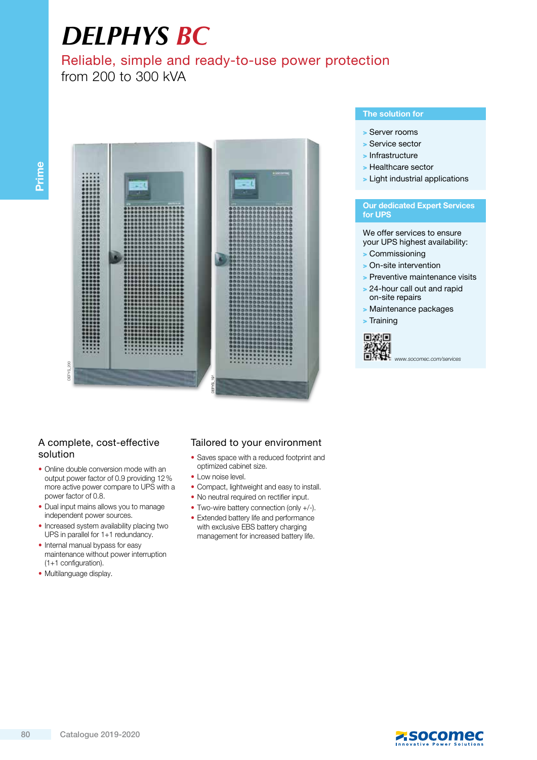# *DELPHYS BC*

## Reliable, simple and ready-to-use power protection from 200 to 300 kVA



## A complete, cost-effective solution

- Online double conversion mode with an output power factor of 0.9 providing 12 % more active power compare to UPS with a power factor of 0.8.
- Dual input mains allows you to manage independent power sources.
- Increased system availability placing two UPS in parallel for 1+1 redundancy.
- Internal manual bypass for easy maintenance without power interruption (1+1 configuration).
- Multilanguage display.

## Tailored to your environment

- Saves space with a reduced footprint and optimized cabinet size.
- Low noise level.
- Compact, lightweight and easy to install.
- No neutral required on rectifier input.
- Two-wire battery connection (only +/-).
- Extended battery life and performance with exclusive EBS battery charging management for increased battery life.

#### The solution for

- > Server rooms
- > Service sector
- > Infrastructure
- > Healthcare sector
- > Light industrial applications

#### Our dedicated Expert Services for UPS

We offer services to ensure your UPS highest availability:

- > Commissioning
- > On-site intervention
- > Preventive maintenance visits
- > 24-hour call out and rapid on-site repairs
- > Maintenance packages
- > Training



www.socomec.com/services